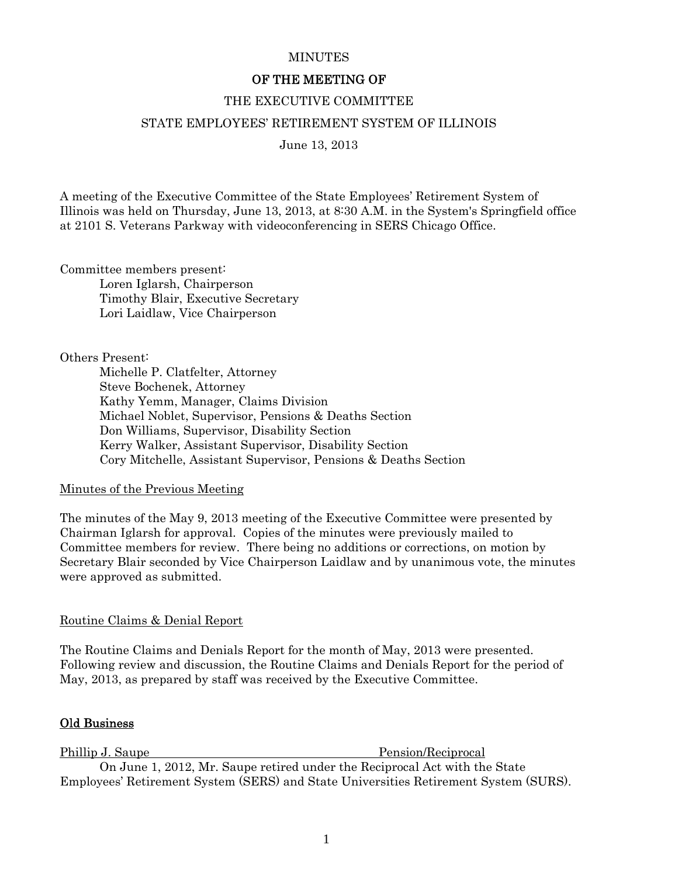## **MINUTES**

# OF THE MEETING OF

#### THE EXECUTIVE COMMITTEE

#### STATE EMPLOYEES' RETIREMENT SYSTEM OF ILLINOIS

June 13, 2013

A meeting of the Executive Committee of the State Employees' Retirement System of Illinois was held on Thursday, June 13, 2013, at 8:30 A.M. in the System's Springfield office at 2101 S. Veterans Parkway with videoconferencing in SERS Chicago Office.

Committee members present:

 Loren Iglarsh, Chairperson Timothy Blair, Executive Secretary Lori Laidlaw, Vice Chairperson

Others Present:

 Michelle P. Clatfelter, Attorney Steve Bochenek, Attorney Kathy Yemm, Manager, Claims Division Michael Noblet, Supervisor, Pensions & Deaths Section Don Williams, Supervisor, Disability Section Kerry Walker, Assistant Supervisor, Disability Section Cory Mitchelle, Assistant Supervisor, Pensions & Deaths Section

## Minutes of the Previous Meeting

The minutes of the May 9, 2013 meeting of the Executive Committee were presented by Chairman Iglarsh for approval. Copies of the minutes were previously mailed to Committee members for review. There being no additions or corrections, on motion by Secretary Blair seconded by Vice Chairperson Laidlaw and by unanimous vote, the minutes were approved as submitted.

## Routine Claims & Denial Report

The Routine Claims and Denials Report for the month of May, 2013 were presented. Following review and discussion, the Routine Claims and Denials Report for the period of May, 2013, as prepared by staff was received by the Executive Committee.

## Old Business

Phillip J. Saupe Pension/Reciprocal On June 1, 2012, Mr. Saupe retired under the Reciprocal Act with the State Employees' Retirement System (SERS) and State Universities Retirement System (SURS).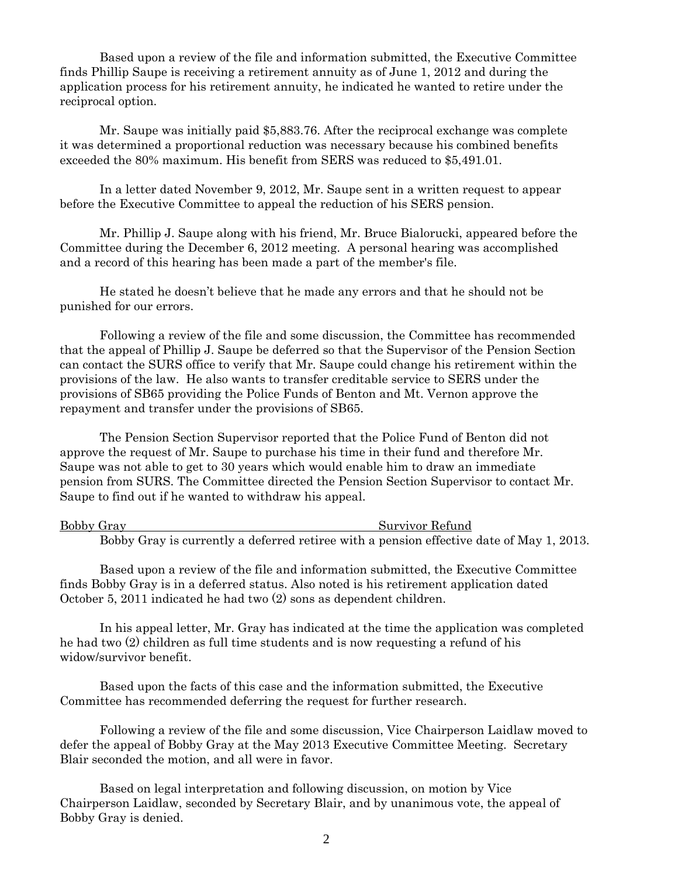Based upon a review of the file and information submitted, the Executive Committee finds Phillip Saupe is receiving a retirement annuity as of June 1, 2012 and during the application process for his retirement annuity, he indicated he wanted to retire under the reciprocal option.

 Mr. Saupe was initially paid \$5,883.76. After the reciprocal exchange was complete it was determined a proportional reduction was necessary because his combined benefits exceeded the 80% maximum. His benefit from SERS was reduced to \$5,491.01.

 In a letter dated November 9, 2012, Mr. Saupe sent in a written request to appear before the Executive Committee to appeal the reduction of his SERS pension.

 Mr. Phillip J. Saupe along with his friend, Mr. Bruce Bialorucki, appeared before the Committee during the December 6, 2012 meeting. A personal hearing was accomplished and a record of this hearing has been made a part of the member's file.

 He stated he doesn't believe that he made any errors and that he should not be punished for our errors.

 Following a review of the file and some discussion, the Committee has recommended that the appeal of Phillip J. Saupe be deferred so that the Supervisor of the Pension Section can contact the SURS office to verify that Mr. Saupe could change his retirement within the provisions of the law. He also wants to transfer creditable service to SERS under the provisions of SB65 providing the Police Funds of Benton and Mt. Vernon approve the repayment and transfer under the provisions of SB65.

 The Pension Section Supervisor reported that the Police Fund of Benton did not approve the request of Mr. Saupe to purchase his time in their fund and therefore Mr. Saupe was not able to get to 30 years which would enable him to draw an immediate pension from SURS. The Committee directed the Pension Section Supervisor to contact Mr. Saupe to find out if he wanted to withdraw his appeal.

| Bobby Gray                                                                               | Survivor Refund |
|------------------------------------------------------------------------------------------|-----------------|
| Bobby Gray is currently a deferred retiree with a pension effective date of May 1, 2013. |                 |

 Based upon a review of the file and information submitted, the Executive Committee finds Bobby Gray is in a deferred status. Also noted is his retirement application dated October 5, 2011 indicated he had two (2) sons as dependent children.

 In his appeal letter, Mr. Gray has indicated at the time the application was completed he had two (2) children as full time students and is now requesting a refund of his widow/survivor benefit.

 Based upon the facts of this case and the information submitted, the Executive Committee has recommended deferring the request for further research.

 Following a review of the file and some discussion, Vice Chairperson Laidlaw moved to defer the appeal of Bobby Gray at the May 2013 Executive Committee Meeting. Secretary Blair seconded the motion, and all were in favor.

 Based on legal interpretation and following discussion, on motion by Vice Chairperson Laidlaw, seconded by Secretary Blair, and by unanimous vote, the appeal of Bobby Gray is denied.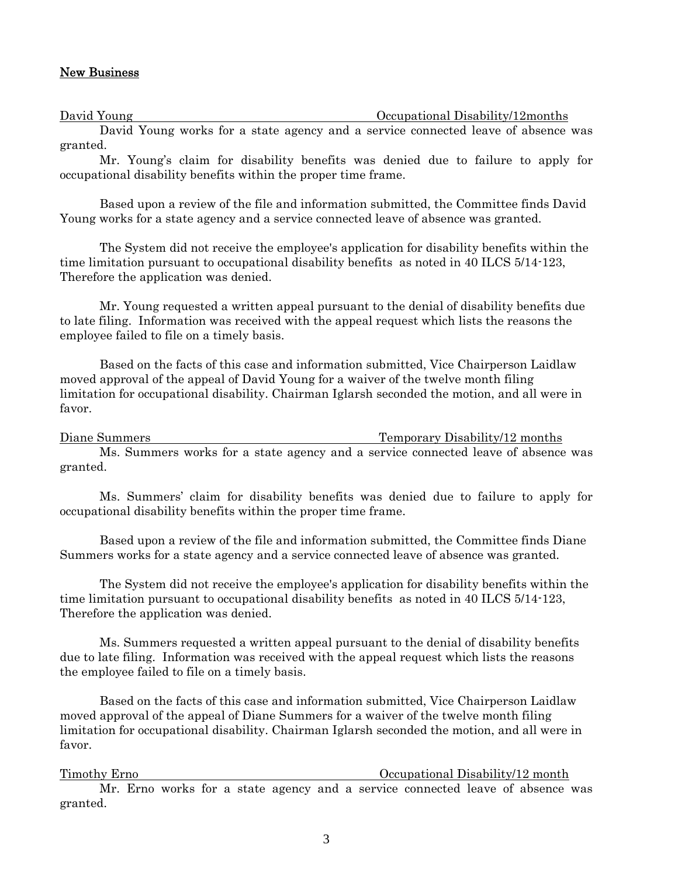#### New Business

David Young Occupational Disability/12months

David Young works for a state agency and a service connected leave of absence was granted.

Mr. Young's claim for disability benefits was denied due to failure to apply for occupational disability benefits within the proper time frame.

Based upon a review of the file and information submitted, the Committee finds David Young works for a state agency and a service connected leave of absence was granted.

The System did not receive the employee's application for disability benefits within the time limitation pursuant to occupational disability benefits as noted in 40 ILCS 5/14-123, Therefore the application was denied.

Mr. Young requested a written appeal pursuant to the denial of disability benefits due to late filing. Information was received with the appeal request which lists the reasons the employee failed to file on a timely basis.

 Based on the facts of this case and information submitted, Vice Chairperson Laidlaw moved approval of the appeal of David Young for a waiver of the twelve month filing limitation for occupational disability. Chairman Iglarsh seconded the motion, and all were in favor.

Diane Summers Temporary Disability/12 months Ms. Summers works for a state agency and a service connected leave of absence was granted.

Ms. Summers' claim for disability benefits was denied due to failure to apply for occupational disability benefits within the proper time frame.

Based upon a review of the file and information submitted, the Committee finds Diane Summers works for a state agency and a service connected leave of absence was granted.

The System did not receive the employee's application for disability benefits within the time limitation pursuant to occupational disability benefits as noted in 40 ILCS 5/14-123, Therefore the application was denied.

Ms. Summers requested a written appeal pursuant to the denial of disability benefits due to late filing. Information was received with the appeal request which lists the reasons the employee failed to file on a timely basis.

 Based on the facts of this case and information submitted, Vice Chairperson Laidlaw moved approval of the appeal of Diane Summers for a waiver of the twelve month filing limitation for occupational disability. Chairman Iglarsh seconded the motion, and all were in favor.

Timothy Erno Occupational Disability/12 month Mr. Erno works for a state agency and a service connected leave of absence was granted.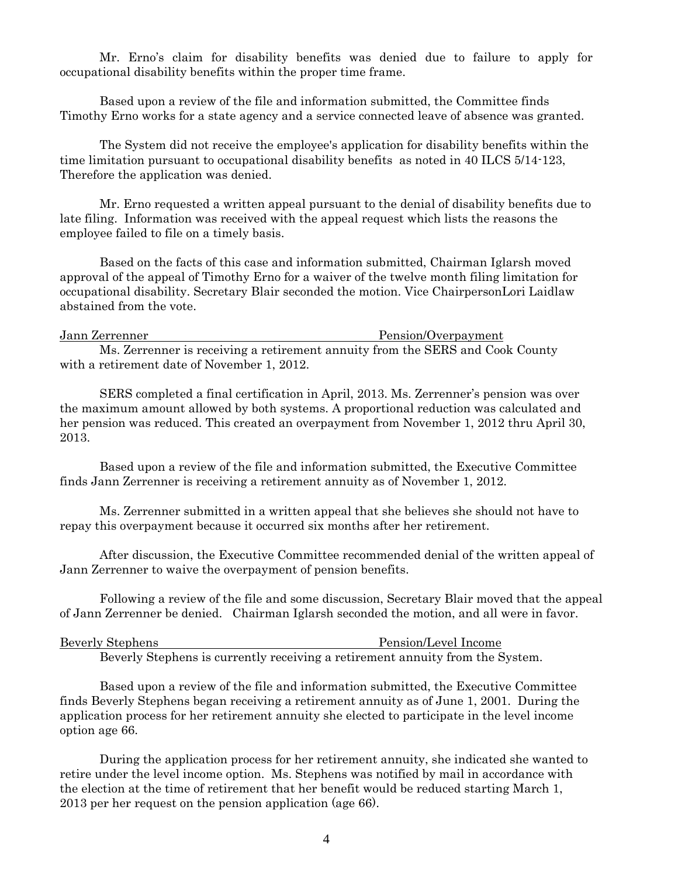Mr. Erno's claim for disability benefits was denied due to failure to apply for occupational disability benefits within the proper time frame.

Based upon a review of the file and information submitted, the Committee finds Timothy Erno works for a state agency and a service connected leave of absence was granted.

The System did not receive the employee's application for disability benefits within the time limitation pursuant to occupational disability benefits as noted in 40 ILCS 5/14-123, Therefore the application was denied.

Mr. Erno requested a written appeal pursuant to the denial of disability benefits due to late filing. Information was received with the appeal request which lists the reasons the employee failed to file on a timely basis.

 Based on the facts of this case and information submitted, Chairman Iglarsh moved approval of the appeal of Timothy Erno for a waiver of the twelve month filing limitation for occupational disability. Secretary Blair seconded the motion. Vice ChairpersonLori Laidlaw abstained from the vote.

Jann Zerrenner Pension/Overpayment Ms. Zerrenner is receiving a retirement annuity from the SERS and Cook County with a retirement date of November 1, 2012.

 SERS completed a final certification in April, 2013. Ms. Zerrenner's pension was over the maximum amount allowed by both systems. A proportional reduction was calculated and her pension was reduced. This created an overpayment from November 1, 2012 thru April 30, 2013.

 Based upon a review of the file and information submitted, the Executive Committee finds Jann Zerrenner is receiving a retirement annuity as of November 1, 2012.

 Ms. Zerrenner submitted in a written appeal that she believes she should not have to repay this overpayment because it occurred six months after her retirement.

 After discussion, the Executive Committee recommended denial of the written appeal of Jann Zerrenner to waive the overpayment of pension benefits.

 Following a review of the file and some discussion, Secretary Blair moved that the appeal of Jann Zerrenner be denied. Chairman Iglarsh seconded the motion, and all were in favor.

| <b>Beverly Stephens</b> |  |  |  |  | Pension/Level Income |  |  |
|-------------------------|--|--|--|--|----------------------|--|--|
|                         |  |  |  |  |                      |  |  |

Beverly Stephens is currently receiving a retirement annuity from the System.

 Based upon a review of the file and information submitted, the Executive Committee finds Beverly Stephens began receiving a retirement annuity as of June 1, 2001. During the application process for her retirement annuity she elected to participate in the level income option age 66.

 During the application process for her retirement annuity, she indicated she wanted to retire under the level income option. Ms. Stephens was notified by mail in accordance with the election at the time of retirement that her benefit would be reduced starting March 1, 2013 per her request on the pension application (age 66).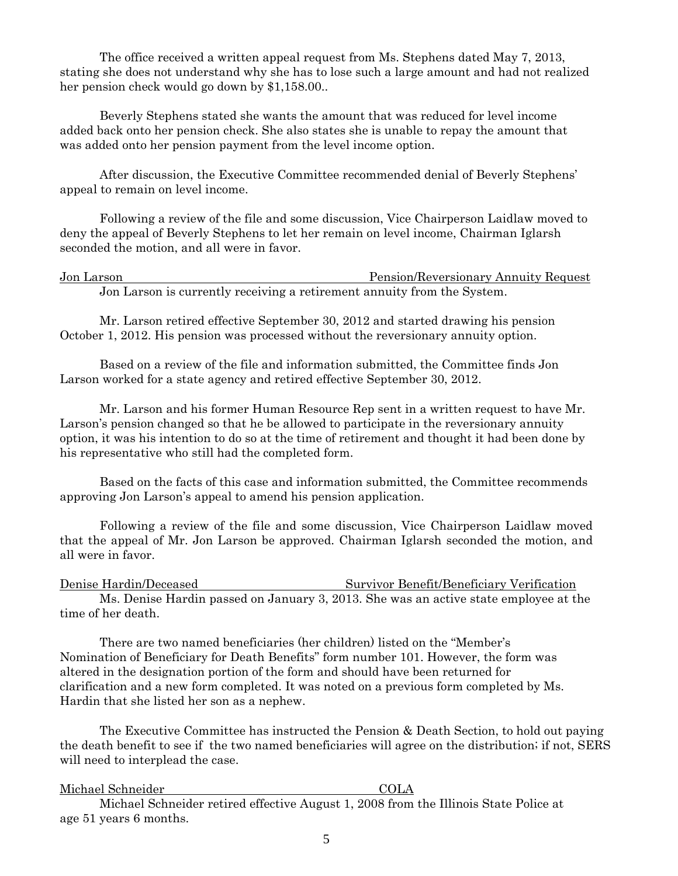The office received a written appeal request from Ms. Stephens dated May 7, 2013, stating she does not understand why she has to lose such a large amount and had not realized her pension check would go down by \$1,158.00..

 Beverly Stephens stated she wants the amount that was reduced for level income added back onto her pension check. She also states she is unable to repay the amount that was added onto her pension payment from the level income option.

 After discussion, the Executive Committee recommended denial of Beverly Stephens' appeal to remain on level income.

 Following a review of the file and some discussion, Vice Chairperson Laidlaw moved to deny the appeal of Beverly Stephens to let her remain on level income, Chairman Iglarsh seconded the motion, and all were in favor.

Jon Larson Pension/Reversionary Annuity Request Jon Larson is currently receiving a retirement annuity from the System.

 Mr. Larson retired effective September 30, 2012 and started drawing his pension October 1, 2012. His pension was processed without the reversionary annuity option.

 Based on a review of the file and information submitted, the Committee finds Jon Larson worked for a state agency and retired effective September 30, 2012.

 Mr. Larson and his former Human Resource Rep sent in a written request to have Mr. Larson's pension changed so that he be allowed to participate in the reversionary annuity option, it was his intention to do so at the time of retirement and thought it had been done by his representative who still had the completed form.

 Based on the facts of this case and information submitted, the Committee recommends approving Jon Larson's appeal to amend his pension application.

Following a review of the file and some discussion, Vice Chairperson Laidlaw moved that the appeal of Mr. Jon Larson be approved. Chairman Iglarsh seconded the motion, and all were in favor.

Denise Hardin/Deceased Survivor Benefit/Beneficiary Verification Ms. Denise Hardin passed on January 3, 2013. She was an active state employee at the time of her death.

 There are two named beneficiaries (her children) listed on the "Member's Nomination of Beneficiary for Death Benefits" form number 101. However, the form was altered in the designation portion of the form and should have been returned for clarification and a new form completed. It was noted on a previous form completed by Ms. Hardin that she listed her son as a nephew.

 The Executive Committee has instructed the Pension & Death Section, to hold out paying the death benefit to see if the two named beneficiaries will agree on the distribution; if not, SERS will need to interplead the case.

Michael Schneider COLA

 Michael Schneider retired effective August 1, 2008 from the Illinois State Police at age 51 years 6 months.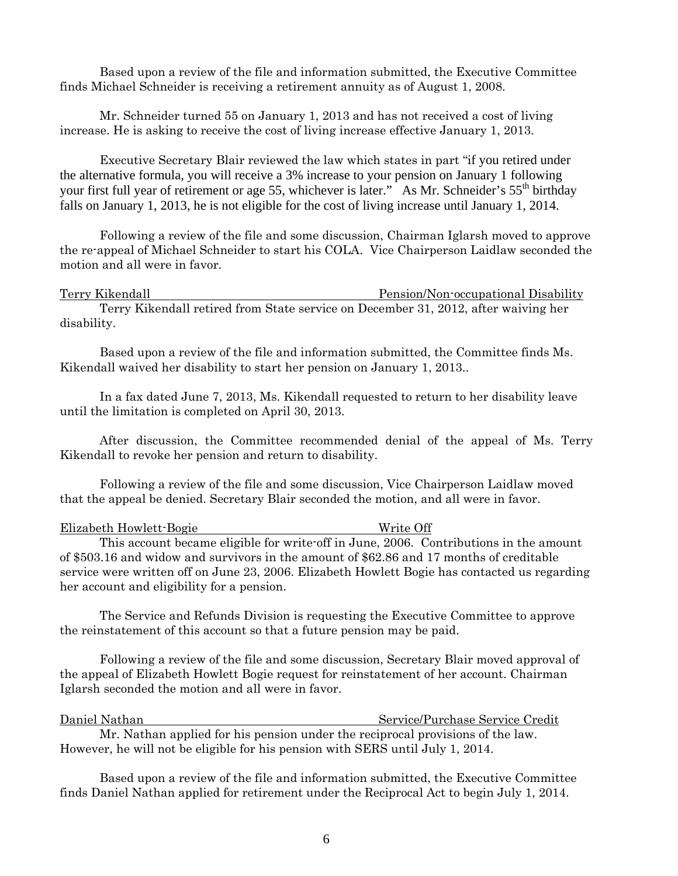Based upon a review of the file and information submitted, the Executive Committee finds Michael Schneider is receiving a retirement annuity as of August 1, 2008.

 Mr. Schneider turned 55 on January 1, 2013 and has not received a cost of living increase. He is asking to receive the cost of living increase effective January 1, 2013.

 Executive Secretary Blair reviewed the law which states in part "if you retired under the alternative formula, you will receive a 3% increase to your pension on January 1 following your first full year of retirement or age 55, whichever is later." As Mr. Schneider's 55<sup>th</sup> birthday falls on January 1, 2013, he is not eligible for the cost of living increase until January 1, 2014.

 Following a review of the file and some discussion, Chairman Iglarsh moved to approve the re-appeal of Michael Schneider to start his COLA. Vice Chairperson Laidlaw seconded the motion and all were in favor.

Terry Kikendall Pension/Non-occupational Disability Terry Kikendall retired from State service on December 31, 2012, after waiving her disability.

 Based upon a review of the file and information submitted, the Committee finds Ms. Kikendall waived her disability to start her pension on January 1, 2013..

 In a fax dated June 7, 2013, Ms. Kikendall requested to return to her disability leave until the limitation is completed on April 30, 2013.

 After discussion, the Committee recommended denial of the appeal of Ms. Terry Kikendall to revoke her pension and return to disability.

 Following a review of the file and some discussion, Vice Chairperson Laidlaw moved that the appeal be denied. Secretary Blair seconded the motion, and all were in favor.

| Elizabeth Howlett-Bogie                    | Write Off                                                                                     |
|--------------------------------------------|-----------------------------------------------------------------------------------------------|
|                                            | This account became eligible for write off in June, 2006. Contributions in the amount         |
|                                            | of \$503.16 and widow and survivors in the amount of \$62.86 and 17 months of creditable      |
|                                            | service were written off on June 23, 2006. Elizabeth Howlett Bogie has contacted us regarding |
| her account and eligibility for a pension. |                                                                                               |

 The Service and Refunds Division is requesting the Executive Committee to approve the reinstatement of this account so that a future pension may be paid.

 Following a review of the file and some discussion, Secretary Blair moved approval of the appeal of Elizabeth Howlett Bogie request for reinstatement of her account. Chairman Iglarsh seconded the motion and all were in favor.

Daniel Nathan Service/Purchase Service Credit Mr. Nathan applied for his pension under the reciprocal provisions of the law. However, he will not be eligible for his pension with SERS until July 1, 2014.

 Based upon a review of the file and information submitted, the Executive Committee finds Daniel Nathan applied for retirement under the Reciprocal Act to begin July 1, 2014.